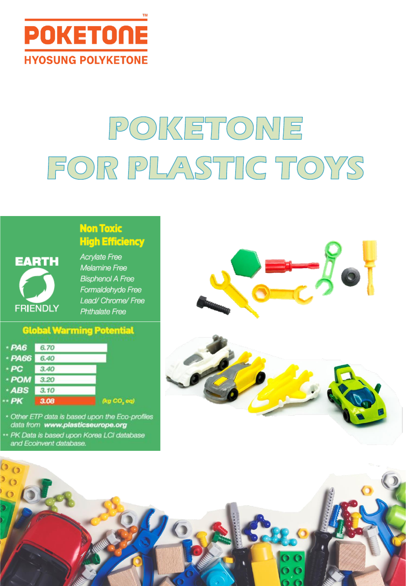

# POKETONE FOR PLASTIC TOYS



#### **High Efficiency Acrylate Free Melamine Free**

**Non Toxic** 

**Bisphenol A Free** Formaldehyde Free Lead/ Chrome/ Free **Phthalate Free** 

#### **Global Warming Potential**



- \* Other ETP data is based upon the Eco-profiles data from www.plasticseurope.org
- \*\* PK Data is based upon Korea LCI database and Ecoinvent database.





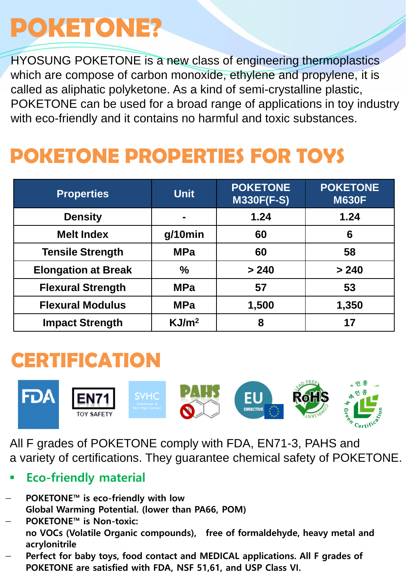## **POKETONE?**

HYOSUNG POKETONE is a new class of engineering thermoplastics which are compose of carbon monoxide, ethylene and propylene, it is called as aliphatic polyketone. As a kind of semi-crystalline plastic, POKETONE can be used for a broad range of applications in toy industry with eco-friendly and it contains no harmful and toxic substances.

### **POKETONE PROPERTIES FOR TOYS**

| <b>Properties</b>          | <b>Unit</b>       | <b>POKETONE</b><br><b>M330F(F-S)</b> | <b>POKETONE</b><br><b>M630F</b> |
|----------------------------|-------------------|--------------------------------------|---------------------------------|
| <b>Density</b>             |                   | 1.24                                 | 1.24                            |
| <b>Melt Index</b>          | $q/10$ min        | 60                                   | 6                               |
| <b>Tensile Strength</b>    | <b>MPa</b>        | 60                                   | 58                              |
| <b>Elongation at Break</b> | $\frac{0}{0}$     | > 240                                | > 240                           |
| <b>Flexural Strength</b>   | <b>MPa</b>        | 57                                   | 53                              |
| <b>Flexural Modulus</b>    | <b>MPa</b>        | 1,500                                | 1,350                           |
| <b>Impact Strength</b>     | KJ/m <sup>2</sup> | 8                                    | 17                              |

#### **CERTIFICATION**



All F grades of POKETONE comply with FDA, EN71-3, PAHS and a variety of certifications. They guarantee chemical safety of POKETONE.

- **Eco-friendly material**
- **POKETONE™ is eco-friendly with low Global Warming Potential. (lower than PA66, POM)**
- **POKETONE™ is Non-toxic: no VOCs (Volatile Organic compounds), free of formaldehyde, heavy metal and acrylonitrile**
- **Perfect for baby toys, food contact and MEDICAL applications. All F grades of POKETONE are satisfied with FDA, NSF 51,61, and USP Class VI.**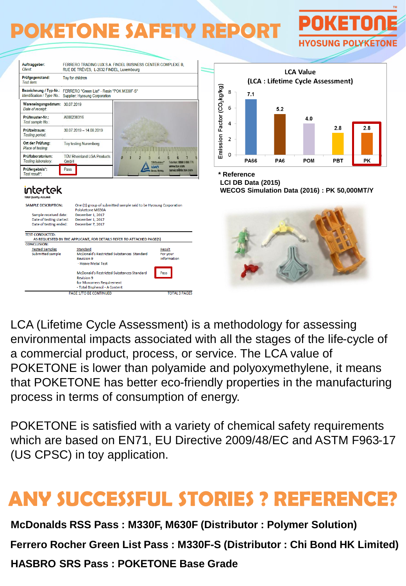### **POKETONE SAFETY REPORT**



**POKETON** 

**HYOSUNG POLYKETONE** 

LCA (Lifetime Cycle Assessment) is a methodology for assessing environmental impacts associated with all the stages of the life-cycle of a commercial product, process, or service. The LCA value of POKETONE is lower than polyamide and polyoxymethylene, it means that POKETONE has better eco-friendly properties in the manufacturing process in terms of consumption of energy.

POKETONE is satisfied with a variety of chemical safety requirements which are based on EN71, EU Directive 2009/48/EC and ASTM F963-17 (US CPSC) in toy application.

#### **ANY SUCCESSFUL STORIES ? REFERENCE?**

**McDonalds RSS Pass : M330F, M630F (Distributor : Polymer Solution)**

**Ferrero Rocher Green List Pass : M330F-S (Distributor : Chi Bond HK Limited)** 

**HASBRO SRS Pass : POKETONE Base Grade**